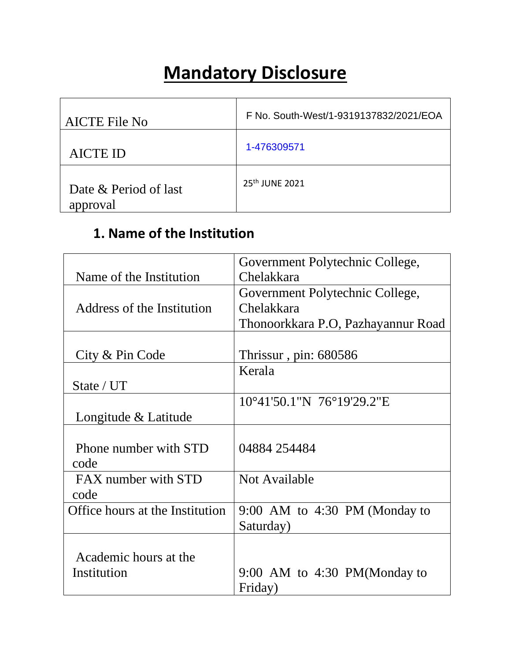# **Mandatory Disclosure**

| <b>AICTE File No</b>              | F No. South-West/1-9319137832/2021/EOA |
|-----------------------------------|----------------------------------------|
| <b>AICTE ID</b>                   | 1-476309571                            |
| Date & Period of last<br>approval | 25 <sup>th</sup> JUNE 2021             |

## **1. Name of the Institution**

|                                 | Government Polytechnic College,     |  |  |
|---------------------------------|-------------------------------------|--|--|
| Name of the Institution         | Chelakkara                          |  |  |
|                                 | Government Polytechnic College,     |  |  |
| Address of the Institution      | Chelakkara                          |  |  |
|                                 | Thonoorkkara P.O, Pazhayannur Road  |  |  |
|                                 |                                     |  |  |
| City & Pin Code                 | Thrissur, pin: $680586$             |  |  |
|                                 | Kerala                              |  |  |
| State / UT                      |                                     |  |  |
|                                 | $10^{\circ}41'50.1''N$ 76°19'29.2"E |  |  |
| Longitude & Latitude            |                                     |  |  |
|                                 |                                     |  |  |
| Phone number with STD           | 04884 254484                        |  |  |
| code                            |                                     |  |  |
| FAX number with STD             | Not Available                       |  |  |
| code                            |                                     |  |  |
| Office hours at the Institution | $9:00$ AM to 4:30 PM (Monday to     |  |  |
|                                 | Saturday)                           |  |  |
|                                 |                                     |  |  |
| Academic hours at the           |                                     |  |  |
| Institution                     | 9:00 AM to 4:30 PM(Monday to        |  |  |
|                                 | Friday)                             |  |  |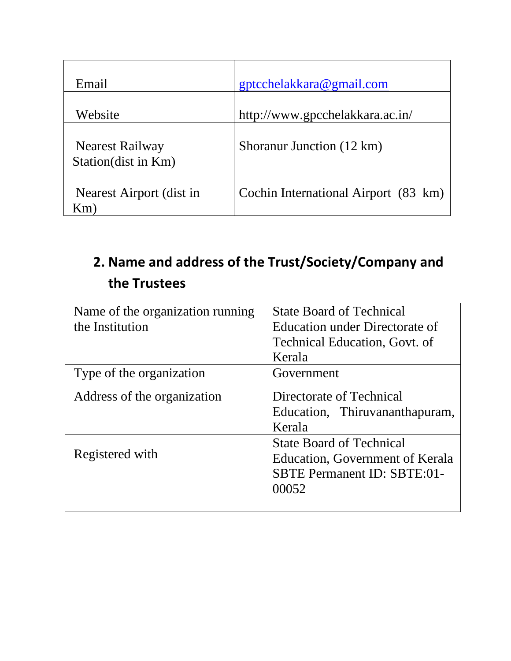| Email                                  | gptcchelakkara@gmail.com             |
|----------------------------------------|--------------------------------------|
| Website                                | http://www.gpcchelakkara.ac.in/      |
| Nearest Railway<br>Station(dist in Km) | Shoranur Junction (12 km)            |
| Nearest Airport (dist in<br>$Km$ )     | Cochin International Airport (83 km) |

# **2. Name and address of the Trust/Society/Company and the Trustees**

| Name of the organization running | <b>State Board of Technical</b>      |  |
|----------------------------------|--------------------------------------|--|
| the Institution                  | Education under Directorate of       |  |
|                                  | <b>Technical Education, Govt. of</b> |  |
|                                  | Kerala                               |  |
| Type of the organization         | Government                           |  |
| Address of the organization      | Directorate of Technical             |  |
|                                  | Education, Thiruvananthapuram,       |  |
|                                  | Kerala                               |  |
|                                  | <b>State Board of Technical</b>      |  |
| Registered with                  | Education, Government of Kerala      |  |
|                                  | <b>SBTE Permanent ID: SBTE:01-</b>   |  |
|                                  | 00052                                |  |
|                                  |                                      |  |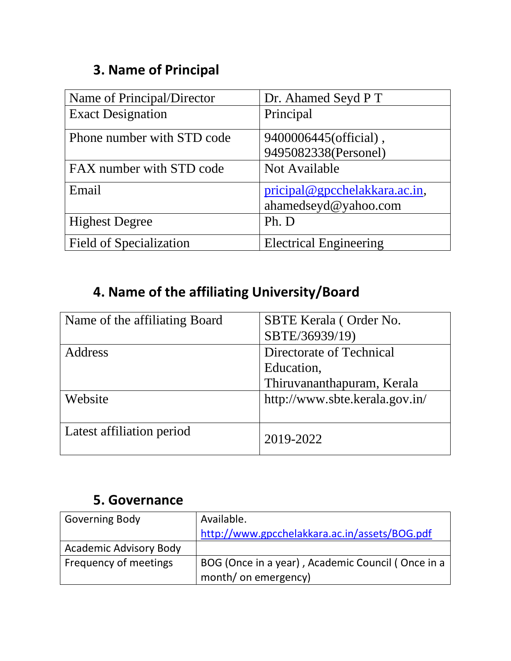## **3. Name of Principal**

| Name of Principal/Director     | Dr. Ahamed Seyd P T           |
|--------------------------------|-------------------------------|
| <b>Exact Designation</b>       | Principal                     |
| Phone number with STD code     | 9400006445(official),         |
|                                | 9495082338(Personel)          |
| FAX number with STD code       | Not Available                 |
| Email                          | pricipal@gpcchelakkara.ac.in, |
|                                | ahamedseyd@yahoo.com          |
| <b>Highest Degree</b>          | Ph. D                         |
| <b>Field of Specialization</b> | <b>Electrical Engineering</b> |

# **4. Name of the affiliating University/Board**

| Name of the affiliating Board | SBTE Kerala (Order No.<br>SBTE/36939/19)                             |
|-------------------------------|----------------------------------------------------------------------|
| Address                       | Directorate of Technical<br>Education,<br>Thiruvananthapuram, Kerala |
| Website                       | http://www.sbte.kerala.gov.in/                                       |
| Latest affiliation period     | 2019-2022                                                            |

#### **5. Governance**

| <b>Governing Body</b>         | Available.                                        |
|-------------------------------|---------------------------------------------------|
|                               | http://www.gpcchelakkara.ac.in/assets/BOG.pdf     |
| <b>Academic Advisory Body</b> |                                                   |
| Frequency of meetings         | BOG (Once in a year), Academic Council (Once in a |
|                               | month/ on emergency)                              |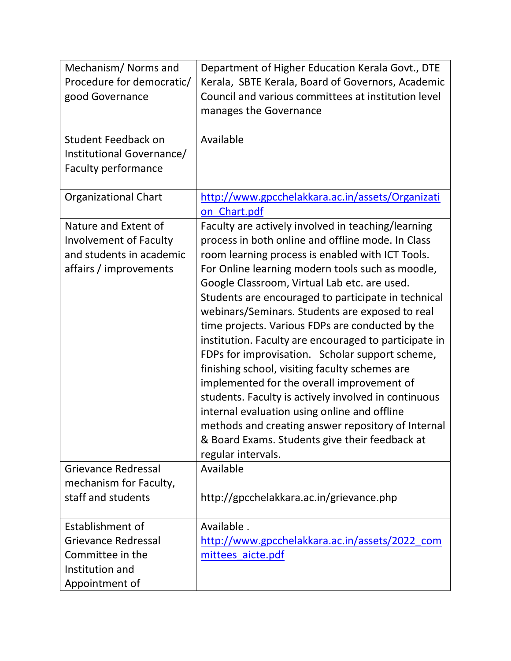| Mechanism/Norms and<br>Procedure for democratic/<br>good Governance                                         | Department of Higher Education Kerala Govt., DTE<br>Kerala, SBTE Kerala, Board of Governors, Academic<br>Council and various committees at institution level<br>manages the Governance                                                                                                                                                                                                                                                                                                                                                                                                                                                                                                                                                                                                                                                                                          |
|-------------------------------------------------------------------------------------------------------------|---------------------------------------------------------------------------------------------------------------------------------------------------------------------------------------------------------------------------------------------------------------------------------------------------------------------------------------------------------------------------------------------------------------------------------------------------------------------------------------------------------------------------------------------------------------------------------------------------------------------------------------------------------------------------------------------------------------------------------------------------------------------------------------------------------------------------------------------------------------------------------|
| Student Feedback on<br>Institutional Governance/<br>Faculty performance                                     | Available                                                                                                                                                                                                                                                                                                                                                                                                                                                                                                                                                                                                                                                                                                                                                                                                                                                                       |
| <b>Organizational Chart</b>                                                                                 | http://www.gpcchelakkara.ac.in/assets/Organizati<br>on Chart.pdf                                                                                                                                                                                                                                                                                                                                                                                                                                                                                                                                                                                                                                                                                                                                                                                                                |
| Nature and Extent of<br><b>Involvement of Faculty</b><br>and students in academic<br>affairs / improvements | Faculty are actively involved in teaching/learning<br>process in both online and offline mode. In Class<br>room learning process is enabled with ICT Tools.<br>For Online learning modern tools such as moodle,<br>Google Classroom, Virtual Lab etc. are used.<br>Students are encouraged to participate in technical<br>webinars/Seminars. Students are exposed to real<br>time projects. Various FDPs are conducted by the<br>institution. Faculty are encouraged to participate in<br>FDPs for improvisation. Scholar support scheme,<br>finishing school, visiting faculty schemes are<br>implemented for the overall improvement of<br>students. Faculty is actively involved in continuous<br>internal evaluation using online and offline<br>methods and creating answer repository of Internal<br>& Board Exams. Students give their feedback at<br>regular intervals. |
| <b>Grievance Redressal</b><br>mechanism for Faculty,<br>staff and students                                  | Available<br>http://gpcchelakkara.ac.in/grievance.php                                                                                                                                                                                                                                                                                                                                                                                                                                                                                                                                                                                                                                                                                                                                                                                                                           |
| Establishment of<br>Grievance Redressal<br>Committee in the<br>Institution and<br>Appointment of            | Available.<br>http://www.gpcchelakkara.ac.in/assets/2022_com<br>mittees aicte.pdf                                                                                                                                                                                                                                                                                                                                                                                                                                                                                                                                                                                                                                                                                                                                                                                               |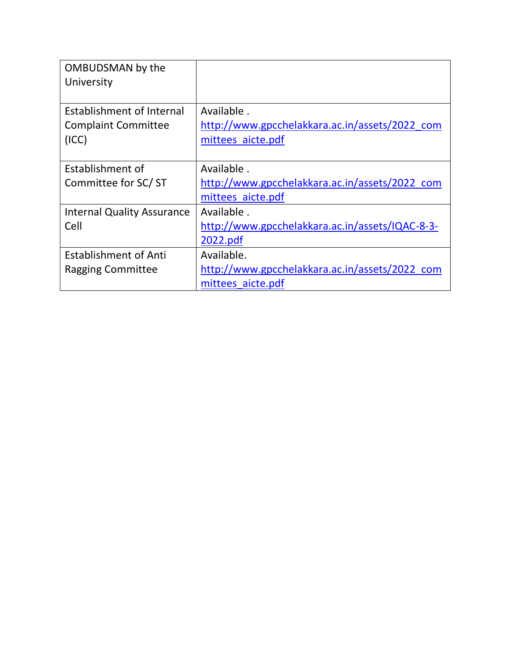| OMBUDSMAN by the                  |                                                 |
|-----------------------------------|-------------------------------------------------|
| University                        |                                                 |
|                                   |                                                 |
| <b>Establishment of Internal</b>  | Available.                                      |
| <b>Complaint Committee</b>        | http://www.gpcchelakkara.ac.in/assets/2022 com  |
| (ICC)                             | mittees aicte.pdf                               |
|                                   |                                                 |
| Establishment of                  | Available.                                      |
| Committee for SC/ST               | http://www.gpcchelakkara.ac.in/assets/2022 com  |
|                                   | mittees aicte.pdf                               |
| <b>Internal Quality Assurance</b> | Available.                                      |
| Cell                              | http://www.gpcchelakkara.ac.in/assets/IQAC-8-3- |
|                                   | 2022.pdf                                        |
| <b>Establishment of Anti</b>      | Available.                                      |
| Ragging Committee                 | http://www.gpcchelakkara.ac.in/assets/2022 com  |
|                                   | mittees aicte.pdf                               |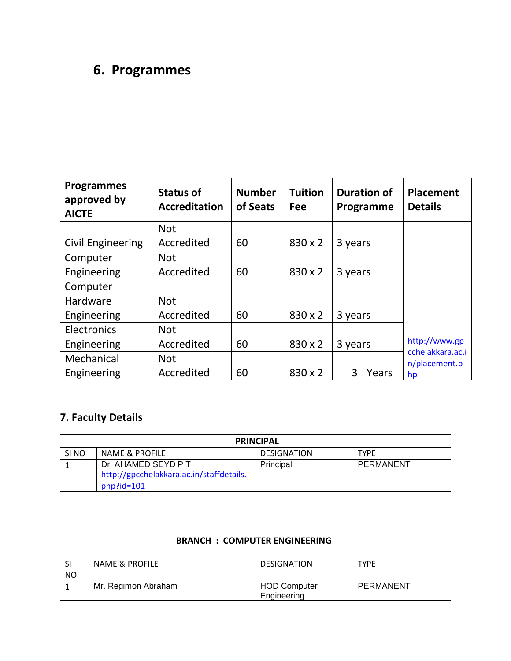# **6. Programmes**

| <b>Programmes</b><br>approved by<br><b>AICTE</b> | <b>Status of</b><br><b>Accreditation</b> | <b>Number</b><br>of Seats | <b>Tuition</b><br><b>Fee</b> | <b>Duration of</b><br>Programme | <b>Placement</b><br><b>Details</b> |
|--------------------------------------------------|------------------------------------------|---------------------------|------------------------------|---------------------------------|------------------------------------|
|                                                  | <b>Not</b>                               |                           |                              |                                 |                                    |
| <b>Civil Engineering</b>                         | Accredited                               | 60                        | 830 x 2                      | 3 years                         |                                    |
| Computer                                         | <b>Not</b>                               |                           |                              |                                 |                                    |
| Engineering                                      | Accredited                               | 60                        | 830 x 2                      | 3 years                         |                                    |
| Computer                                         |                                          |                           |                              |                                 |                                    |
| Hardware                                         | <b>Not</b>                               |                           |                              |                                 |                                    |
| Engineering                                      | Accredited                               | 60                        | 830 x 2                      | 3 years                         |                                    |
| Electronics                                      | <b>Not</b>                               |                           |                              |                                 |                                    |
| Engineering                                      | Accredited                               | 60                        | 830 x 2                      | 3 years                         | http://www.gp                      |
| Mechanical                                       | <b>Not</b>                               |                           |                              |                                 | cchelakkara.ac.i<br>n/placement.p  |
| Engineering                                      | Accredited                               | 60                        | 830 x 2                      | 3<br>Years                      | hp                                 |

#### **7. Faculty Details**

| <b>PRINCIPAL</b> |                                                                                  |           |           |  |  |
|------------------|----------------------------------------------------------------------------------|-----------|-----------|--|--|
| SI <sub>NO</sub> | NAME & PROFILE<br><b>DESIGNATION</b><br><b>TYPE</b>                              |           |           |  |  |
|                  | Dr. AHAMED SEYD P T<br>http://gpcchelakkara.ac.in/staffdetails.<br>$php$ ?id=101 | Principal | PERMANENT |  |  |

|           | <b>BRANCH : COMPUTER ENGINEERING</b> |                     |             |  |
|-----------|--------------------------------------|---------------------|-------------|--|
| <b>SI</b> | <b>NAME &amp; PROFILE</b>            | <b>DESIGNATION</b>  | <b>TYPE</b> |  |
| NO        |                                      |                     |             |  |
|           | Mr. Regimon Abraham                  | <b>HOD Computer</b> | PERMANENT   |  |
|           |                                      | Engineering         |             |  |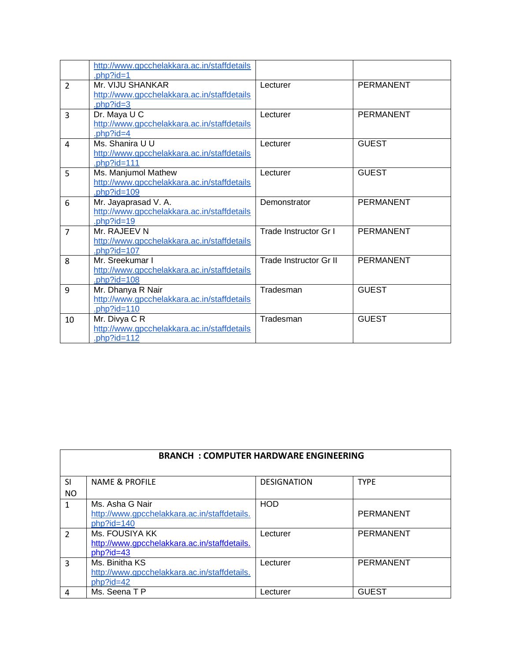|                | http://www.gpcchelakkara.ac.in/staffdetails<br>$.$ bhp?id=1                       |                        |                  |
|----------------|-----------------------------------------------------------------------------------|------------------------|------------------|
| $\overline{2}$ | Mr. VIJU SHANKAR<br>http://www.gpcchelakkara.ac.in/staffdetails                   | Lecturer               | <b>PERMANENT</b> |
| 3              | .php?id=3<br>Dr. Maya U C                                                         | Lecturer               | <b>PERMANENT</b> |
|                | http://www.gpcchelakkara.ac.in/staffdetails<br>.php?id=4                          |                        |                  |
| 4              | Ms. Shanira U U<br>http://www.gpcchelakkara.ac.in/staffdetails<br>.php?id=111     | Lecturer               | <b>GUEST</b>     |
| 5              | Ms. Manjumol Mathew<br>http://www.gpcchelakkara.ac.in/staffdetails<br>.php?id=109 | Lecturer               | <b>GUEST</b>     |
| 6              | Mr. Jayaprasad V. A.<br>http://www.gpcchelakkara.ac.in/staffdetails<br>php?id=19  | Demonstrator           | <b>PERMANENT</b> |
| $\overline{7}$ | Mr. RAJEEV N<br>http://www.gpcchelakkara.ac.in/staffdetails<br>.php?id=107        | Trade Instructor Gr I  | <b>PERMANENT</b> |
| 8              | Mr. Sreekumar I<br>http://www.gpcchelakkara.ac.in/staffdetails<br>php?id=108      | Trade Instructor Gr II | <b>PERMANENT</b> |
| 9              | Mr. Dhanya R Nair<br>http://www.gpcchelakkara.ac.in/staffdetails<br>php?id=110    | Tradesman              | <b>GUEST</b>     |
| 10             | Mr. Divya C R<br>http://www.gpcchelakkara.ac.in/staffdetails<br>$php$ ?id=112     | Tradesman              | <b>GUEST</b>     |

| <b>BRANCH: COMPUTER HARDWARE ENGINEERING</b> |                                                                                  |                    |                  |
|----------------------------------------------|----------------------------------------------------------------------------------|--------------------|------------------|
| <b>SI</b><br>N <sub>O</sub>                  | <b>NAME &amp; PROFILE</b>                                                        | <b>DESIGNATION</b> | <b>TYPE</b>      |
| 1                                            | Ms. Asha G Nair<br>http://www.gpcchelakkara.ac.in/staffdetails.<br>$php$ ?id=140 | <b>HOD</b>         | <b>PERMANENT</b> |
| $\mathcal{P}$                                | Ms. FOUSIYA KK<br>http://www.gpcchelakkara.ac.in/staffdetails.<br>$php$ ?id=43   | Lecturer           | <b>PERMANENT</b> |
| 3                                            | Ms. Binitha KS<br>http://www.gpcchelakkara.ac.in/staffdetails.<br>$php$ ?id=42   | Lecturer           | <b>PERMANENT</b> |
| 4                                            | Ms. Seena T P                                                                    | Lecturer           | <b>GUEST</b>     |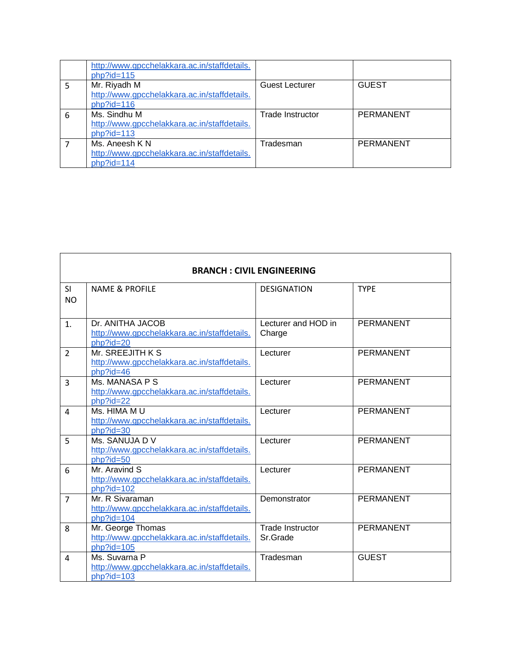|   | http://www.gpcchelakkara.ac.in/staffdetails.<br>$php$ ?id=115                 |                  |                  |
|---|-------------------------------------------------------------------------------|------------------|------------------|
|   | Mr. Riyadh M<br>http://www.gpcchelakkara.ac.in/staffdetails.<br>$php$ ?id=116 | Guest Lecturer   | <b>GUEST</b>     |
| 6 | Ms. Sindhu M<br>http://www.gpcchelakkara.ac.in/staffdetails.<br>$php$ ?id=113 | Trade Instructor | <b>PERMANENT</b> |
|   | Ms. Aneesh K N<br>http://www.gpcchelakkara.ac.in/staffdetails.<br>php?id=114  | Tradesman        | <b>PERMANENT</b> |

 $\overline{\phantom{a}}$ 

|                        | <b>BRANCH: CIVIL ENGINEERING</b>                                                         |                                     |                  |  |
|------------------------|------------------------------------------------------------------------------------------|-------------------------------------|------------------|--|
| <b>SI</b><br><b>NO</b> | <b>NAME &amp; PROFILE</b>                                                                | <b>DESIGNATION</b>                  | <b>TYPE</b>      |  |
| 1.                     | Dr. ANITHA JACOB<br>http://www.gpcchelakkara.ac.in/staffdetails.                         | Lecturer and HOD in<br>Charge       | PERMANENT        |  |
| $\overline{2}$         | php?id=20<br>Mr. SREEJITH K S<br>http://www.gpcchelakkara.ac.in/staffdetails.            | Lecturer                            | <b>PERMANENT</b> |  |
| 3                      | php?id=46<br>Ms. MANASA P S<br>http://www.gpcchelakkara.ac.in/staffdetails.<br>php?id=22 | Lecturer                            | <b>PERMANENT</b> |  |
| 4                      | Ms. HIMA M U<br>http://www.gpcchelakkara.ac.in/staffdetails.<br>php?id=30                | Lecturer                            | <b>PERMANENT</b> |  |
| 5                      | Ms. SANUJA DV<br>http://www.gpcchelakkara.ac.in/staffdetails.<br>php?id=50               | Lecturer                            | PERMANENT        |  |
| 6                      | Mr. Aravind S<br>http://www.gpcchelakkara.ac.in/staffdetails.<br>php?id=102              | Lecturer                            | PERMANENT        |  |
| $\overline{7}$         | Mr. R Sivaraman<br>http://www.gpcchelakkara.ac.in/staffdetails.<br>$php$ ?id=104         | Demonstrator                        | <b>PERMANENT</b> |  |
| 8                      | Mr. George Thomas<br>http://www.gpcchelakkara.ac.in/staffdetails.<br>$php$ ?id=105       | <b>Trade Instructor</b><br>Sr.Grade | <b>PERMANENT</b> |  |
| 4                      | Ms. Suvarna P<br>http://www.gpcchelakkara.ac.in/staffdetails.<br>php?id=103              | Tradesman                           | <b>GUEST</b>     |  |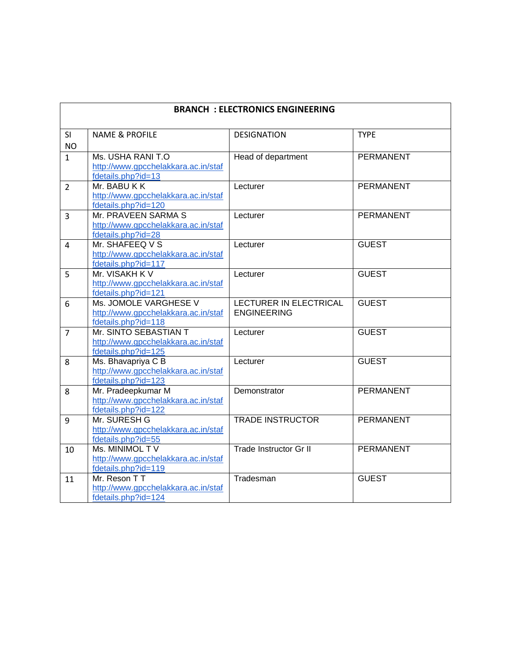| <b>BRANCH: ELECTRONICS ENGINEERING</b> |                                                                                     |                                              |                  |  |
|----------------------------------------|-------------------------------------------------------------------------------------|----------------------------------------------|------------------|--|
| SI<br><b>NO</b>                        | <b>NAME &amp; PROFILE</b>                                                           | <b>DESIGNATION</b>                           | <b>TYPE</b>      |  |
| $\mathbf{1}$                           | Ms. USHA RANI T.O<br>http://www.gpcchelakkara.ac.in/staf<br>fdetails.php?id=13      | Head of department                           | <b>PERMANENT</b> |  |
| $\overline{2}$                         | Mr. BABU K K<br>http://www.gpcchelakkara.ac.in/staf<br>fdetails.php?id=120          | Lecturer                                     | <b>PERMANENT</b> |  |
| $\overline{3}$                         | Mr. PRAVEEN SARMA S<br>http://www.gpcchelakkara.ac.in/staf<br>fdetails.php?id=28    | Lecturer                                     | <b>PERMANENT</b> |  |
| $\overline{4}$                         | Mr. SHAFEEQ V S<br>http://www.gpcchelakkara.ac.in/staf<br>fdetails.php?id=117       | Lecturer                                     | <b>GUEST</b>     |  |
| 5                                      | Mr. VISAKH K V<br>http://www.gpcchelakkara.ac.in/staf<br>fdetails.php?id=121        | Lecturer                                     | <b>GUEST</b>     |  |
| 6                                      | Ms. JOMOLE VARGHESE V<br>http://www.gpcchelakkara.ac.in/staf<br>fdetails.php?id=118 | LECTURER IN ELECTRICAL<br><b>ENGINEERING</b> | <b>GUEST</b>     |  |
| $\overline{7}$                         | Mr. SINTO SEBASTIAN T<br>http://www.gpcchelakkara.ac.in/staf<br>fdetails.php?id=125 | Lecturer                                     | <b>GUEST</b>     |  |
| 8                                      | Ms. Bhavapriya C B<br>http://www.gpcchelakkara.ac.in/staf<br>fdetails.php?id=123    | Lecturer                                     | <b>GUEST</b>     |  |
| 8                                      | Mr. Pradeepkumar M<br>http://www.gpcchelakkara.ac.in/staf<br>fdetails.php?id=122    | Demonstrator                                 | <b>PERMANENT</b> |  |
| 9                                      | Mr. SURESH G<br>http://www.gpcchelakkara.ac.in/staf<br>fdetails.php?id=55           | <b>TRADE INSTRUCTOR</b>                      | <b>PERMANENT</b> |  |
| 10                                     | Ms. MINIMOL TV<br>http://www.gpcchelakkara.ac.in/staf<br>fdetails.php?id=119        | Trade Instructor Gr II                       | <b>PERMANENT</b> |  |
| 11                                     | Mr. Reson T T<br>http://www.gpcchelakkara.ac.in/staf<br>fdetails.php?id=124         | Tradesman                                    | <b>GUEST</b>     |  |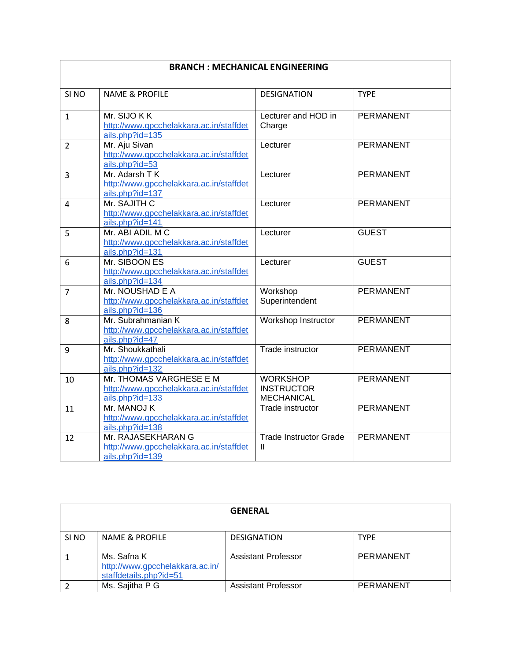| <b>BRANCH: MECHANICAL ENGINEERING</b> |                                                                                       |                                                           |                  |  |
|---------------------------------------|---------------------------------------------------------------------------------------|-----------------------------------------------------------|------------------|--|
| SI <sub>NO</sub>                      | <b>NAME &amp; PROFILE</b>                                                             | <b>DESIGNATION</b>                                        | <b>TYPE</b>      |  |
| $\mathbf{1}$                          | Mr. SIJO K K<br>http://www.gpcchelakkara.ac.in/staffdet<br>ails.php?id=135            | Lecturer and HOD in<br>Charge                             | <b>PERMANENT</b> |  |
| $\overline{2}$                        | Mr. Aju Sivan<br>http://www.gpcchelakkara.ac.in/staffdet<br>ails.php?id=53            | Lecturer                                                  | <b>PERMANENT</b> |  |
| 3                                     | Mr. Adarsh T K<br>http://www.gpcchelakkara.ac.in/staffdet<br>ails.php?id=137          | Lecturer                                                  | <b>PERMANENT</b> |  |
| 4                                     | Mr. SAJITH C<br>http://www.gpcchelakkara.ac.in/staffdet<br>ails.php?id=141            | Lecturer                                                  | <b>PERMANENT</b> |  |
| 5                                     | Mr. ABI ADIL M C<br>http://www.gpcchelakkara.ac.in/staffdet<br>ails.php?id=131        | Lecturer                                                  | <b>GUEST</b>     |  |
| 6                                     | Mr. SIBOON ES<br>http://www.gpcchelakkara.ac.in/staffdet<br>ails.php?id=134           | Lecturer                                                  | <b>GUEST</b>     |  |
| $\overline{7}$                        | Mr. NOUSHAD E A<br>http://www.gpcchelakkara.ac.in/staffdet<br>ails.php?id=136         | Workshop<br>Superintendent                                | <b>PERMANENT</b> |  |
| 8                                     | Mr. Subrahmanian K<br>http://www.gpcchelakkara.ac.in/staffdet<br>ails.php?id=47       | Workshop Instructor                                       | <b>PERMANENT</b> |  |
| 9                                     | Mr. Shoukkathali<br>http://www.gpcchelakkara.ac.in/staffdet<br>ails.php?id=132        | Trade instructor                                          | <b>PERMANENT</b> |  |
| 10                                    | Mr. THOMAS VARGHESE E M<br>http://www.gpcchelakkara.ac.in/staffdet<br>ails.php?id=133 | <b>WORKSHOP</b><br><b>INSTRUCTOR</b><br><b>MECHANICAL</b> | <b>PERMANENT</b> |  |
| 11                                    | Mr. MANOJ K<br>http://www.gpcchelakkara.ac.in/staffdet<br>ails.php?id=138             | Trade instructor                                          | <b>PERMANENT</b> |  |
| 12                                    | Mr. RAJASEKHARAN G<br>http://www.gpcchelakkara.ac.in/staffdet<br>ails.php?id=139      | <b>Trade Instructor Grade</b><br>Ш                        | <b>PERMANENT</b> |  |

| <b>GENERAL</b>   |                                 |                            |             |
|------------------|---------------------------------|----------------------------|-------------|
|                  |                                 |                            |             |
| SI <sub>NO</sub> | NAME & PROFILE                  | <b>DESIGNATION</b>         | <b>TYPE</b> |
|                  |                                 |                            |             |
|                  | Ms. Safna K                     | <b>Assistant Professor</b> | PERMANENT   |
|                  | http://www.gpcchelakkara.ac.in/ |                            |             |
|                  | staffdetails.php?id=51          |                            |             |
|                  | Ms. Sajitha P G                 | <b>Assistant Professor</b> | PERMANENT   |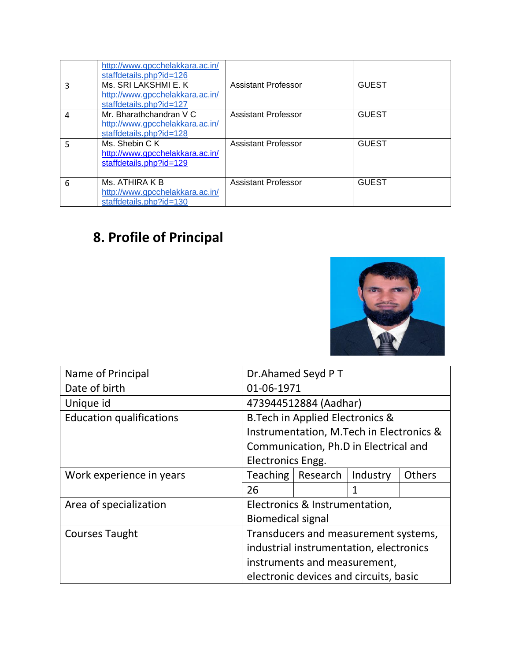|   | http://www.gpcchelakkara.ac.in/<br>staffdetails.php?id=126                            |                            |              |
|---|---------------------------------------------------------------------------------------|----------------------------|--------------|
| 3 | Ms. SRI LAKSHMI E. K<br>http://www.gpcchelakkara.ac.in/<br>staffdetails.php?id=127    | Assistant Professor        | <b>GUEST</b> |
| 4 | Mr. Bharathchandran V C<br>http://www.gpcchelakkara.ac.in/<br>staffdetails.php?id=128 | <b>Assistant Professor</b> | <b>GUEST</b> |
| 5 | Ms. Shebin C K<br>http://www.gpcchelakkara.ac.in/<br>staffdetails.php?id=129          | Assistant Professor        | <b>GUEST</b> |
| 6 | Ms. ATHIRA K B<br>http://www.gpcchelakkara.ac.in/<br>staffdetails.php?id=130          | <b>Assistant Professor</b> | <b>GUEST</b> |

# **8. Profile of Principal**



| Name of Principal               | Dr.Ahamed Seyd PT                       |                                             |              |               |
|---------------------------------|-----------------------------------------|---------------------------------------------|--------------|---------------|
| Date of birth                   | 01-06-1971                              |                                             |              |               |
| Unique id                       |                                         | 473944512884 (Aadhar)                       |              |               |
| <b>Education qualifications</b> |                                         | <b>B. Tech in Applied Electronics &amp;</b> |              |               |
|                                 |                                         | Instrumentation, M. Tech in Electronics &   |              |               |
|                                 |                                         | Communication, Ph.D in Electrical and       |              |               |
|                                 | Electronics Engg.                       |                                             |              |               |
| Work experience in years        | Teaching                                | Research                                    | Industry     | <b>Others</b> |
|                                 | 26                                      |                                             | $\mathbf{1}$ |               |
| Area of specialization          |                                         | Electronics & Instrumentation,              |              |               |
|                                 | <b>Biomedical signal</b>                |                                             |              |               |
| <b>Courses Taught</b>           | Transducers and measurement systems,    |                                             |              |               |
|                                 | industrial instrumentation, electronics |                                             |              |               |
|                                 | instruments and measurement,            |                                             |              |               |
|                                 |                                         | electronic devices and circuits, basic      |              |               |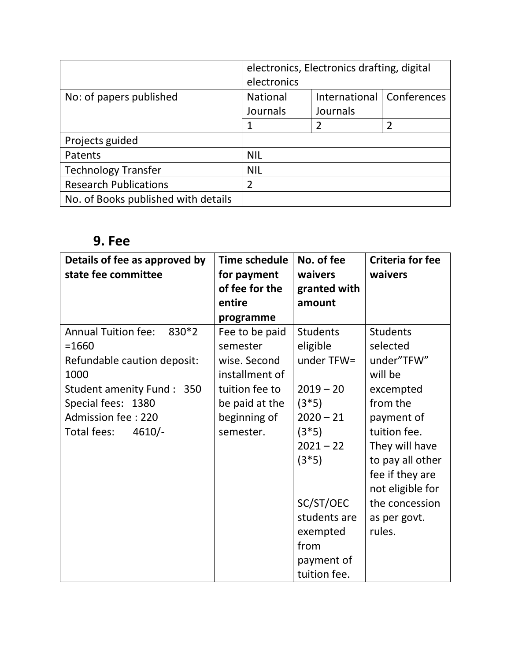|                                     | electronics, Electronics drafting, digital<br>electronics |               |             |
|-------------------------------------|-----------------------------------------------------------|---------------|-------------|
| No: of papers published             | <b>National</b>                                           | International | Conferences |
|                                     | Journals                                                  | Journals      |             |
|                                     | 1                                                         | 2             |             |
| Projects guided                     |                                                           |               |             |
| Patents                             | <b>NIL</b>                                                |               |             |
| <b>Technology Transfer</b>          | <b>NIL</b>                                                |               |             |
| <b>Research Publications</b>        | $\overline{2}$                                            |               |             |
| No. of Books published with details |                                                           |               |             |

## **9. Fee**

| Details of fee as approved by<br>state fee committee                                                                                                                                         | <b>Time schedule</b><br>for payment<br>of fee for the<br>entire<br>programme                                                  | No. of fee<br>waivers<br>granted with<br>amount                                                                                                                                                        | <b>Criteria for fee</b><br>waivers                                                                                                                                                                                                   |
|----------------------------------------------------------------------------------------------------------------------------------------------------------------------------------------------|-------------------------------------------------------------------------------------------------------------------------------|--------------------------------------------------------------------------------------------------------------------------------------------------------------------------------------------------------|--------------------------------------------------------------------------------------------------------------------------------------------------------------------------------------------------------------------------------------|
| <b>Annual Tuition fee:</b><br>$830*2$<br>$= 1660$<br>Refundable caution deposit:<br>1000<br>Student amenity Fund: 350<br>Special fees: 1380<br>Admission fee: 220<br>Total fees:<br>$4610/-$ | Fee to be paid<br>semester<br>wise. Second<br>installment of<br>tuition fee to<br>be paid at the<br>beginning of<br>semester. | <b>Students</b><br>eligible<br>under TFW=<br>$2019 - 20$<br>$(3*5)$<br>$2020 - 21$<br>$(3*5)$<br>$2021 - 22$<br>$(3*5)$<br>SC/ST/OEC<br>students are<br>exempted<br>from<br>payment of<br>tuition fee. | <b>Students</b><br>selected<br>under"TFW"<br>will be<br>excempted<br>from the<br>payment of<br>tuition fee.<br>They will have<br>to pay all other<br>fee if they are<br>not eligible for<br>the concession<br>as per govt.<br>rules. |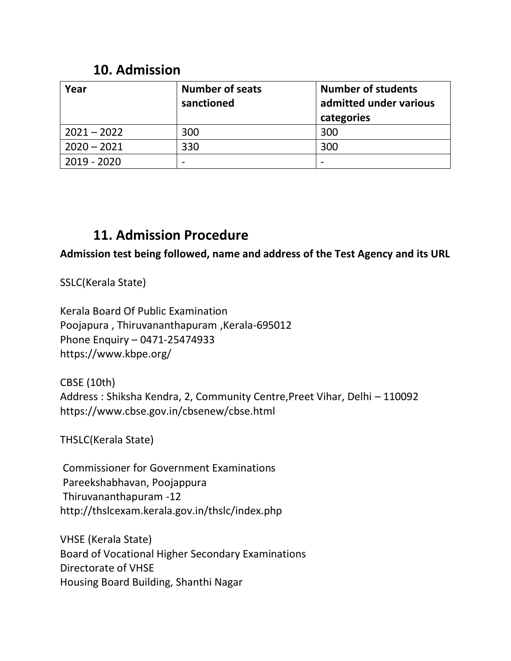### **10. Admission**

| Year          | <b>Number of seats</b><br>sanctioned | <b>Number of students</b><br>admitted under various<br>categories |
|---------------|--------------------------------------|-------------------------------------------------------------------|
| $2021 - 2022$ | 300                                  | 300                                                               |
| $2020 - 2021$ | 330                                  | 300                                                               |
| 2019 - 2020   |                                      |                                                                   |

### **11. Admission Procedure**

**Admission test being followed, name and address of the Test Agency and its URL**

SSLC(Kerala State)

Kerala Board Of Public Examination Poojapura , Thiruvananthapuram ,Kerala-695012 Phone Enquiry – 0471-25474933 <https://www.kbpe.org/>

CBSE (10th) Address : Shiksha Kendra, 2, Community Centre,Preet Vihar, Delhi – 110092 <https://www.cbse.gov.in/cbsenew/cbse.html>

THSLC(Kerala State)

Commissioner for Government Examinations Pareekshabhavan, Poojappura Thiruvananthapuram -12 <http://thslcexam.kerala.gov.in/thslc/index.php>

VHSE (Kerala State) Board of Vocational Higher Secondary Examinations Directorate of VHSE Housing Board Building, Shanthi Nagar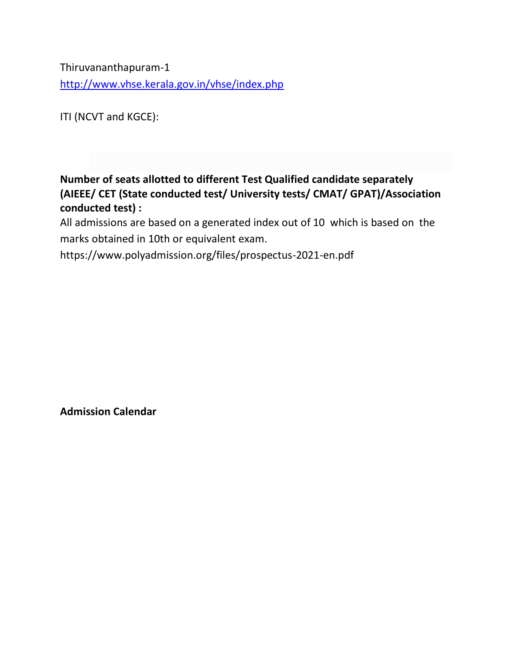Thiruvananthapuram-1 <http://www.vhse.kerala.gov.in/vhse/index.php>

ITI (NCVT and KGCE):

**Number of seats allotted to different Test Qualified candidate separately (AIEEE/ CET (State conducted test/ University tests/ CMAT/ GPAT)/Association conducted test) :** 

All admissions are based on a generated index out of 10 which is based on the marks obtained in 10th or equivalent exam.

<https://www.polyadmission.org/files/prospectus-2021-en.pdf>

**Admission Calendar**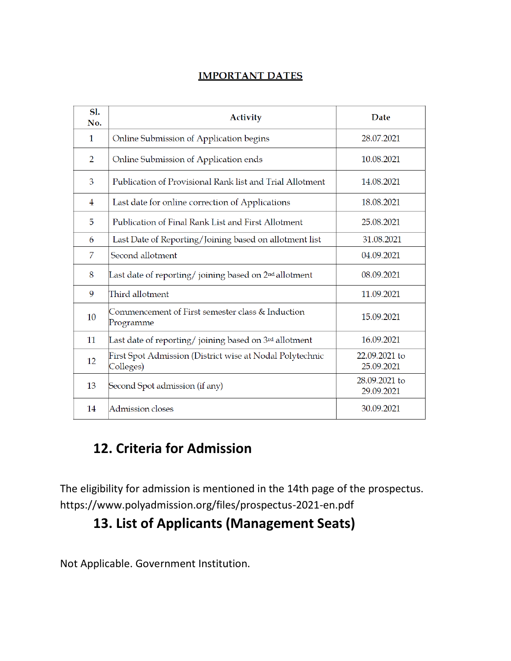#### **IMPORTANT DATES**

| Sl.<br>No. | <b>Activity</b>                                                       | Date                        |
|------------|-----------------------------------------------------------------------|-----------------------------|
| 1          | Online Submission of Application begins                               | 28.07.2021                  |
| 2          | Online Submission of Application ends                                 | 10.08.2021                  |
| 3          | Publication of Provisional Rank list and Trial Allotment              | 14.08.2021                  |
| 4          | Last date for online correction of Applications                       | 18.08.2021                  |
| 5          | Publication of Final Rank List and First Allotment                    | 25.08.2021                  |
| 6          | Last Date of Reporting/Joining based on allotment list                | 31.08.2021                  |
| 7          | Second allotment                                                      | 04.09.2021                  |
| 8          | Last date of reporting/joining based on 2 <sup>nd</sup> allotment     | 08.09.2021                  |
| 9          | Third allotment                                                       | 11.09.2021                  |
| 10         | Commencement of First semester class & Induction<br>Programme         | 15.09.2021                  |
| 11         | Last date of reporting/ joining based on 3rd allotment                | 16.09.2021                  |
| 12         | First Spot Admission (District wise at Nodal Polytechnic<br>Colleges) | 22.09.2021 to<br>25.09.2021 |
| 13         | Second Spot admission (if any)                                        | 28.09.2021 to<br>29.09.2021 |
| 14         | Admission closes                                                      | 30.09.2021                  |

## **12. Criteria for Admission**

The eligibility for admission is mentioned in the 14th page of the prospectus. <https://www.polyadmission.org/files/prospectus-2021-en.pdf>

## **13. List of Applicants (Management Seats)**

Not Applicable. Government Institution.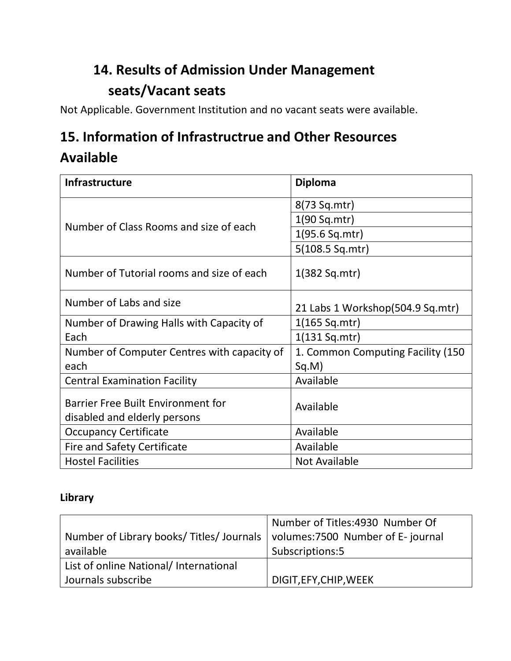# **14. Results of Admission Under Management seats/Vacant seats**

Not Applicable. Government Institution and no vacant seats were available.

## **15. Information of Infrastructrue and Other Resources**

## **Available**

| <b>Infrastructure</b>                                                     | <b>Diploma</b>                    |
|---------------------------------------------------------------------------|-----------------------------------|
|                                                                           | 8(73 Sq.mtr)                      |
| Number of Class Rooms and size of each                                    | 1(90 Sq.mtr)                      |
|                                                                           | 1(95.6 Sq.mtr)                    |
|                                                                           | 5(108.5 Sq.mtr)                   |
| Number of Tutorial rooms and size of each                                 | $1(382$ Sq.mtr)                   |
| Number of Labs and size                                                   | 21 Labs 1 Workshop(504.9 Sq.mtr)  |
| Number of Drawing Halls with Capacity of                                  | $1(165$ Sq.mtr)                   |
| Each                                                                      | $1(131$ Sq.mtr)                   |
| Number of Computer Centres with capacity of                               | 1. Common Computing Facility (150 |
| each                                                                      | Sq.M)                             |
| <b>Central Examination Facility</b>                                       | Available                         |
| <b>Barrier Free Built Environment for</b><br>disabled and elderly persons | Available                         |
| <b>Occupancy Certificate</b>                                              | Available                         |
| <b>Fire and Safety Certificate</b>                                        | Available                         |
| <b>Hostel Facilities</b>                                                  | <b>Not Available</b>              |

#### **Library**

|                                                                               | Number of Titles: 4930 Number Of |
|-------------------------------------------------------------------------------|----------------------------------|
| Number of Library books/ Titles/ Journals   volumes: 7500 Number of E-journal |                                  |
| available                                                                     | Subscriptions:5                  |
| List of online National/ International                                        |                                  |
| Journals subscribe                                                            | DIGIT, EFY, CHIP, WEEK           |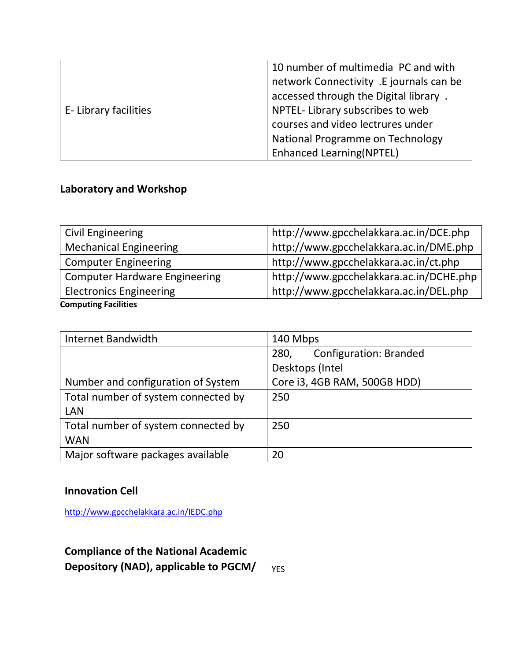|                      | 10 number of multimedia PC and with<br>network Connectivity .E journals can be |
|----------------------|--------------------------------------------------------------------------------|
|                      | accessed through the Digital library.                                          |
| E-Library facilities | NPTEL- Library subscribes to web                                               |
|                      | courses and video lectrures under                                              |
|                      | National Programme on Technology                                               |
|                      | <b>Enhanced Learning(NPTEL)</b>                                                |

#### **Laboratory and Workshop**

| Civil Engineering                    | http://www.gpcchelakkara.ac.in/DCE.php  |
|--------------------------------------|-----------------------------------------|
| <b>Mechanical Engineering</b>        | http://www.gpcchelakkara.ac.in/DME.php  |
| <b>Computer Engineering</b>          | http://www.gpcchelakkara.ac.in/ct.php   |
| <b>Computer Hardware Engineering</b> | http://www.gpcchelakkara.ac.in/DCHE.php |
| <b>Electronics Engineering</b>       | http://www.gpcchelakkara.ac.in/DEL.php  |
| Computing Eacilities                 |                                         |

**Computing Facilities**

| Internet Bandwidth                  | 140 Mbps                              |  |  |
|-------------------------------------|---------------------------------------|--|--|
|                                     | <b>Configuration: Branded</b><br>280, |  |  |
|                                     | Desktops (Intel                       |  |  |
| Number and configuration of System  | Core i3, 4GB RAM, 500GB HDD)          |  |  |
| Total number of system connected by | 250                                   |  |  |
| <b>LAN</b>                          |                                       |  |  |
| Total number of system connected by | 250                                   |  |  |
| <b>WAN</b>                          |                                       |  |  |
| Major software packages available   | 20                                    |  |  |

#### **Innovation Cell**

<http://www.gpcchelakkara.ac.in/IEDC.php>

**Compliance of the National Academic Depository (NAD), applicable to PGCM/** YES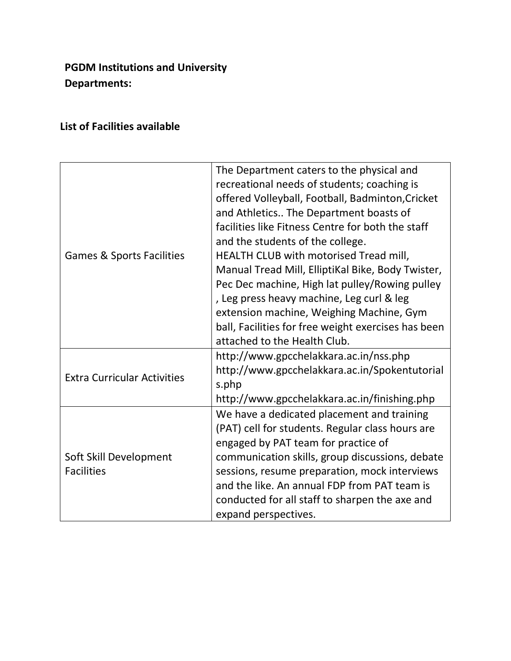#### **PGDM Institutions and University Departments:**

#### **List of Facilities available**

|                                      | The Department caters to the physical and<br>recreational needs of students; coaching is |  |  |
|--------------------------------------|------------------------------------------------------------------------------------------|--|--|
|                                      | offered Volleyball, Football, Badminton, Cricket                                         |  |  |
|                                      | and Athletics The Department boasts of                                                   |  |  |
|                                      | facilities like Fitness Centre for both the staff                                        |  |  |
|                                      | and the students of the college.                                                         |  |  |
| <b>Games &amp; Sports Facilities</b> | HEALTH CLUB with motorised Tread mill,                                                   |  |  |
|                                      | Manual Tread Mill, ElliptiKal Bike, Body Twister,                                        |  |  |
|                                      | Pec Dec machine, High lat pulley/Rowing pulley                                           |  |  |
|                                      | , Leg press heavy machine, Leg curl & leg                                                |  |  |
|                                      | extension machine, Weighing Machine, Gym                                                 |  |  |
|                                      | ball, Facilities for free weight exercises has been                                      |  |  |
|                                      | attached to the Health Club.                                                             |  |  |
|                                      | http://www.gpcchelakkara.ac.in/nss.php                                                   |  |  |
| <b>Extra Curricular Activities</b>   | http://www.gpcchelakkara.ac.in/Spokentutorial                                            |  |  |
|                                      | s.php                                                                                    |  |  |
|                                      | http://www.gpcchelakkara.ac.in/finishing.php                                             |  |  |
|                                      | We have a dedicated placement and training                                               |  |  |
|                                      | (PAT) cell for students. Regular class hours are                                         |  |  |
|                                      | engaged by PAT team for practice of                                                      |  |  |
| Soft Skill Development               | communication skills, group discussions, debate                                          |  |  |
| <b>Facilities</b>                    | sessions, resume preparation, mock interviews                                            |  |  |
|                                      | and the like. An annual FDP from PAT team is                                             |  |  |
|                                      | conducted for all staff to sharpen the axe and                                           |  |  |
|                                      | expand perspectives.                                                                     |  |  |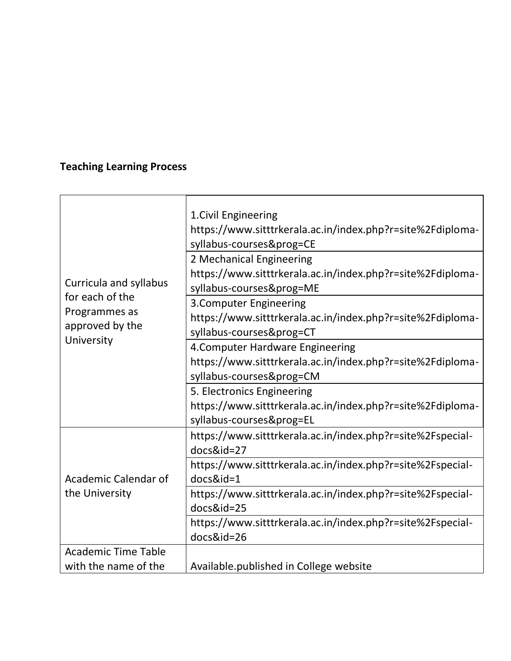### **Teaching Learning Process**

|                                           | 1. Civil Engineering                                       |
|-------------------------------------------|------------------------------------------------------------|
|                                           | https://www.sitttrkerala.ac.in/index.php?r=site%2Fdiploma- |
|                                           | syllabus-courses&prog=CE                                   |
|                                           | 2 Mechanical Engineering                                   |
|                                           | https://www.sitttrkerala.ac.in/index.php?r=site%2Fdiploma- |
| Curricula and syllabus<br>for each of the | syllabus-courses&prog=ME                                   |
|                                           | 3. Computer Engineering                                    |
| Programmes as<br>approved by the          | https://www.sitttrkerala.ac.in/index.php?r=site%2Fdiploma- |
| University                                | syllabus-courses&prog=CT                                   |
|                                           | 4. Computer Hardware Engineering                           |
|                                           | https://www.sitttrkerala.ac.in/index.php?r=site%2Fdiploma- |
|                                           | syllabus-courses&prog=CM                                   |
|                                           | 5. Electronics Engineering                                 |
|                                           | https://www.sitttrkerala.ac.in/index.php?r=site%2Fdiploma- |
|                                           | syllabus-courses&prog=EL                                   |
|                                           | https://www.sitttrkerala.ac.in/index.php?r=site%2Fspecial- |
|                                           | docs&id=27                                                 |
|                                           | https://www.sitttrkerala.ac.in/index.php?r=site%2Fspecial- |
| <b>Academic Calendar of</b>               | $docs\&id=1$                                               |
| the University                            | https://www.sitttrkerala.ac.in/index.php?r=site%2Fspecial- |
|                                           | docs&id=25                                                 |
|                                           | https://www.sitttrkerala.ac.in/index.php?r=site%2Fspecial- |
|                                           | docs&id=26                                                 |
| <b>Academic Time Table</b>                |                                                            |
| with the name of the                      | Available.published in College website                     |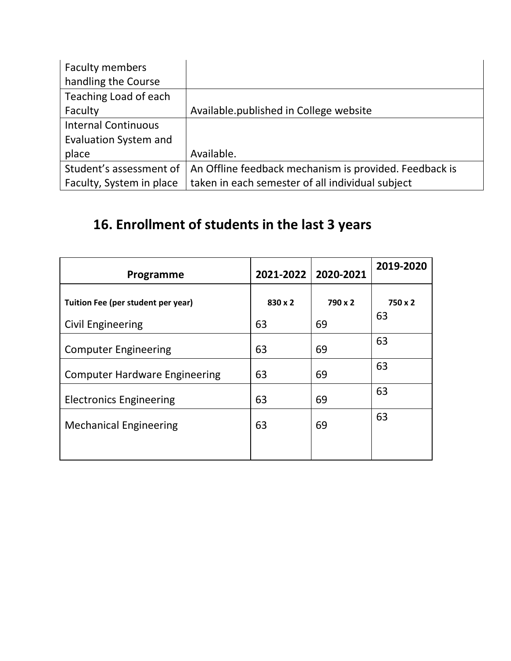| <b>Faculty members</b>       |                                                        |
|------------------------------|--------------------------------------------------------|
| handling the Course          |                                                        |
| Teaching Load of each        |                                                        |
| Faculty                      | Available.published in College website                 |
| <b>Internal Continuous</b>   |                                                        |
| <b>Evaluation System and</b> |                                                        |
| place                        | Available.                                             |
| Student's assessment of      | An Offline feedback mechanism is provided. Feedback is |
| Faculty, System in place     | taken in each semester of all individual subject       |

# **16. Enrollment of students in the last 3 years**

| Programme                                               | 2021-2022     | 2020-2021     | 2019-2020     |
|---------------------------------------------------------|---------------|---------------|---------------|
| Tuition Fee (per student per year)<br>Civil Engineering | 830 x 2<br>63 | 790 x 2<br>69 | 750 x 2<br>63 |
| <b>Computer Engineering</b>                             | 63            | 69            | 63            |
| <b>Computer Hardware Engineering</b>                    | 63            | 69            | 63            |
| <b>Electronics Engineering</b>                          | 63            | 69            | 63            |
| <b>Mechanical Engineering</b>                           | 63            | 69            | 63            |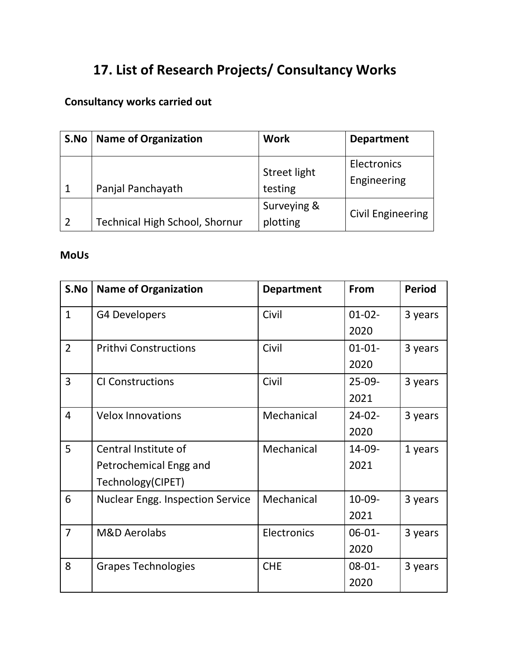# **17. List of Research Projects/ Consultancy Works**

#### **Consultancy works carried out**

| S.No           | <b>Name of Organization</b>           | <b>Work</b>                    | <b>Department</b>          |
|----------------|---------------------------------------|--------------------------------|----------------------------|
| $\mathbf{1}$   | Panjal Panchayath                     | <b>Street light</b><br>testing | Electronics<br>Engineering |
| $\overline{2}$ | <b>Technical High School, Shornur</b> | Surveying &<br>plotting        | <b>Civil Engineering</b>   |

#### **MoUs**

| S.No           | <b>Name of Organization</b>             | <b>Department</b> | <b>From</b> | <b>Period</b> |
|----------------|-----------------------------------------|-------------------|-------------|---------------|
| $\mathbf{1}$   | G4 Developers                           | Civil             | $01-02-$    | 3 years       |
|                |                                         |                   | 2020        |               |
| $\overline{2}$ | <b>Prithvi Constructions</b>            | Civil             | $01 - 01 -$ | 3 years       |
|                |                                         |                   | 2020        |               |
| $\overline{3}$ | <b>CI Constructions</b>                 | Civil             | $25-09-$    | 3 years       |
|                |                                         |                   | 2021        |               |
| 4              | <b>Velox Innovations</b>                | Mechanical        | $24 - 02 -$ | 3 years       |
|                |                                         |                   | 2020        |               |
| 5              | Central Institute of                    | Mechanical        | 14-09-      | 1 years       |
|                | Petrochemical Engg and                  |                   | 2021        |               |
|                | Technology(CIPET)                       |                   |             |               |
| 6              | <b>Nuclear Engg. Inspection Service</b> | Mechanical        | 10-09-      | 3 years       |
|                |                                         |                   | 2021        |               |
| $\overline{7}$ | <b>M&amp;D Aerolabs</b>                 | Electronics       | $06 - 01 -$ | 3 years       |
|                |                                         |                   | 2020        |               |
| 8              | <b>Grapes Technologies</b>              | <b>CHE</b>        | $08 - 01 -$ | 3 years       |
|                |                                         |                   | 2020        |               |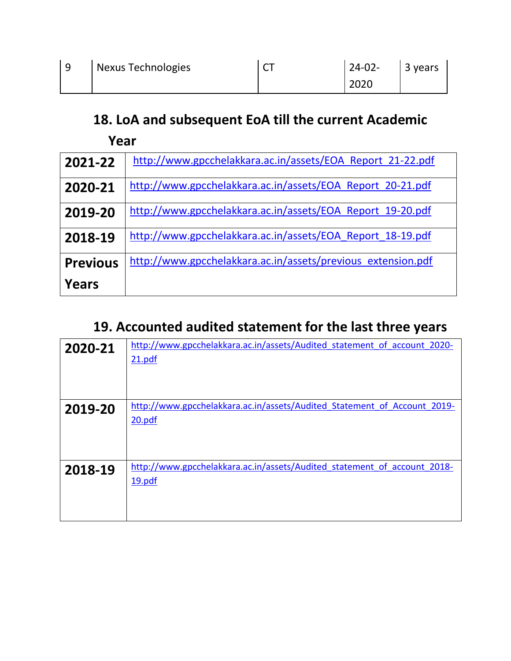| <b>Nexus Technologies</b> | $\sim$ $\sim$<br>$\ddot{\phantom{0}}$ | $24-02-$ | 3 years |
|---------------------------|---------------------------------------|----------|---------|
|                           |                                       | 2020     |         |

## **18. LoA and subsequent EoA till the current Academic**

| Year            |                                                              |
|-----------------|--------------------------------------------------------------|
| 2021-22         | http://www.gpcchelakkara.ac.in/assets/EOA Report 21-22.pdf   |
| 2020-21         | http://www.gpcchelakkara.ac.in/assets/EOA Report 20-21.pdf   |
| 2019-20         | http://www.gpcchelakkara.ac.in/assets/EOA Report 19-20.pdf   |
| 2018-19         | http://www.gpcchelakkara.ac.in/assets/EOA Report 18-19.pdf   |
| <b>Previous</b> | http://www.gpcchelakkara.ac.in/assets/previous extension.pdf |
| Years           |                                                              |

# **19. Accounted audited statement for the last three years**

| 2020-21 | http://www.gpcchelakkara.ac.in/assets/Audited statement of account 2020-<br>21.pdf |
|---------|------------------------------------------------------------------------------------|
| 2019-20 | http://www.gpcchelakkara.ac.in/assets/Audited Statement of Account 2019-<br>20.pdf |
| 2018-19 | http://www.gpcchelakkara.ac.in/assets/Audited statement of account 2018-<br>19.pdf |